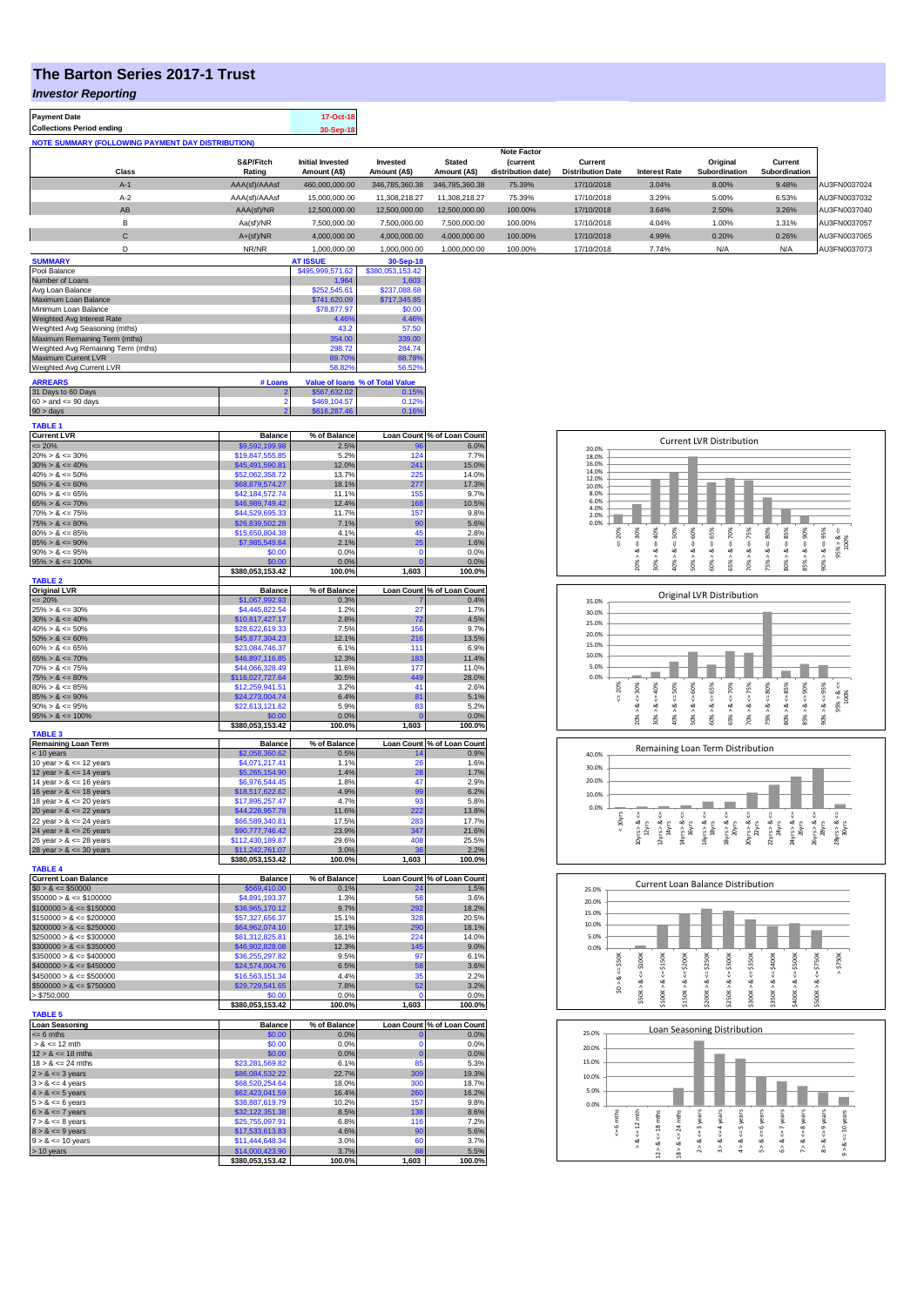## **The Barton Series 2017-1 Trust**

*Investor Reporting*

| <b>Payment Date</b>                                      |               | 17-Oct-18        |                |                |                                      |                          |                      |               |               |              |
|----------------------------------------------------------|---------------|------------------|----------------|----------------|--------------------------------------|--------------------------|----------------------|---------------|---------------|--------------|
| <b>Collections Period ending</b>                         |               | 30-Sep-18        |                |                |                                      |                          |                      |               |               |              |
| <b>NOTE SUMMARY (FOLLOWING PAYMENT DAY DISTRIBUTION)</b> |               |                  |                |                |                                      |                          |                      |               |               |              |
|                                                          | S&P/Fitch     | Initial Invested | Invested       | <b>Stated</b>  | <b>Note Factor</b>                   | Current                  |                      | Original      | Current       |              |
| Class                                                    | Rating        | Amount (A\$)     | Amount (A\$)   | Amount (A\$)   | <b>Current</b><br>distribution date) | <b>Distribution Date</b> | <b>Interest Rate</b> | Subordination | Subordination |              |
| $A-1$                                                    | AAA(sf)/AAAsf | 460.000.000.00   | 346.785.360.38 | 346,785,360,38 | 75.39%                               | 17/10/2018               | 3.04%                | 8.00%         | 9.48%         | AU3FN0037024 |
| $A-2$                                                    | AAA(sf)/AAAsf | 15.000.000.00    | 11.308.218.27  | 11.308.218.27  | 75.39%                               | 17/10/2018               | 3.29%                | 5.00%         | 6.53%         | AU3FN0037032 |
| AB                                                       | AAA(sf)/NR    | 12.500.000.00    | 12.500.000.00  | 12.500.000.00  | 100.00%                              | 17/10/2018               | 3.64%                | 2.50%         | 3.26%         | AU3FN0037040 |
| B                                                        | Aa(sf)/NR     | 7.500.000.00     | 7.500.000.00   | 7.500.000.00   | 100.00%                              | 17/10/2018               | 4.04%                | 1.00%         | 1.31%         | AU3FN0037057 |
| C                                                        | $A+(sf)/NR$   | 4.000.000.00     | 4.000.000.00   | 4.000.000.00   | 100.00%                              | 17/10/2018               | 4.99%                | 0.20%         | 0.26%         | AU3FN0037065 |
|                                                          | NR/NR         | 1.000.000.00     | 1.000.000.00   | 1.000.000.00   | 100.00%                              | 17/10/2018               | 7.74%                | N/A           | N/A           | AU3FN0037073 |
| A                                                        |               |                  | $\sim$ $\sim$  |                |                                      |                          |                      |               |               |              |

| <b>SUMMARY</b>                     |         | <b>AT ISSUE</b>  | 30-Sep-18                       |
|------------------------------------|---------|------------------|---------------------------------|
| Pool Balance                       |         | \$495,999,571.62 | \$380,053,153.42                |
| Number of Loans                    |         | 1.964            | 1.603                           |
| Avg Loan Balance                   |         | \$252,545.61     | \$237,088,68                    |
| Maximum Loan Balance               |         | \$741,620.09     | \$717,345.85                    |
| Minimum Loan Balance               |         | \$78,877.97      | \$0.00                          |
| Weighted Avg Interest Rate         |         | 4.46%            | 4.46%                           |
| Weighted Avg Seasoning (mths)      |         | 43.2             | 57.50                           |
| Maximum Remaining Term (mths)      |         | 354.00           | 339.00                          |
| Weighted Avg Remaining Term (mths) |         | 298.72           | 284.74                          |
| Maximum Current LVR                |         | 89.70%           | 88.78%                          |
| Weighted Avg Current LVR           |         | 58.82%           | 56.52%                          |
| <b>ARREARS</b>                     | # Loans |                  | Value of Ioans % of Total Value |
| 31 Days to 60 Days                 | 2       | \$567,632.02     | 0.15%                           |
| $60 >$ and $\leq 90$ days          |         | \$469,104.57     | 0.12%                           |
| $90 >$ days                        | 2       | \$616,287.46     | 0.16%                           |

| TABLE <sub>1</sub>                                       |                                     |                |              |                            |
|----------------------------------------------------------|-------------------------------------|----------------|--------------|----------------------------|
| <b>Current LVR</b>                                       | <b>Balance</b>                      | % of Balance   |              | Loan Count % of Loan Count |
| $= 20%$<br>$20\% > 8 \le 30\%$                           | \$9,592,199,98<br>\$19,847,555.85   | 2.5%<br>5.2%   | 124          | 6.0%<br>7.7%               |
| $30\% > 8 \le 40\%$                                      | \$45,491,590.81                     | 12.0%          | 241          | 15.0%                      |
| $40\% > 8 \le 50\%$                                      | \$52.062.358.72                     | 13.7%          | 225          | 14.0%                      |
| $50\% > 8 \le 60\%$                                      | \$68,879,574.27                     | 18.1%          | 277          | 17.3%                      |
| $60\% > 8 \le 65\%$                                      | \$42,184,572.74                     | 11.1%          | 155          | 9.7%                       |
| $65\% > 8 \le 70\%$                                      | \$46,989,749.42                     | 12.4%          | 168          | 10.5%                      |
| $70\% > 8 \le 75\%$                                      | \$44,529,695.33                     | 11.7%          | 157          | 9.8%                       |
| $75\% > 8 \le 80\%$<br>$80\% > 8 \le 85\%$               | \$26,839,502.28<br>\$15,650,804.38  | 7.1%<br>4.1%   | 90<br>45     | 5.6%<br>2.8%               |
| $85\% > 8 \le 90\%$                                      | \$7,985,549.64                      | 2.1%           | 25           | 1.6%                       |
| $90\% > 8 \le 95\%$                                      | \$0.00                              | 0.0%           | $\mathbf 0$  | 0.0%                       |
| $95\% > 8 \le 100\%$                                     | \$0.00                              | 0.0%           | $\Omega$     | 0.0%                       |
|                                                          | \$380,053,153.42                    | 100.0%         | 1,603        | 100.0%                     |
| TABLE <sub>2</sub><br><b>Original LVR</b>                | <b>Balance</b>                      | % of Balance   |              | Loan Count % of Loan Count |
| $\leq 20\%$                                              | \$1,067,992.93                      | 0.3%           |              | 0.4%                       |
| $25\% > 8 \le 30\%$                                      | \$4,445,822,54                      | 1.2%           | 27           | 1.7%                       |
| $30\% > 8 \le 40\%$                                      | \$10,817,427.17                     | 2.8%           | 72           | 4.5%                       |
| $40\% > 8 \le 50\%$                                      | \$28,622,619.33                     | 7.5%           | 156          | 9.7%                       |
| $50\% > 8 \le 60\%$                                      | \$45,877,304.23                     | 12.1%          | 216          | 13.5%                      |
| $60\% > 8 \le 65\%$                                      | \$23,084,746.37                     | 6.1%<br>12.3%  | 111<br>183   | 6.9%                       |
| $65\% > 8 \le 70\%$<br>$70\% > 8 \le 75\%$               | \$46,897,116.85<br>\$44,066,328.49  | 11.6%          | 177          | 11.4%<br>11.0%             |
| $75\% > 8 \le 80\%$                                      | \$116,027,727.64                    | 30.5%          | 449          | 28.0%                      |
| $80\% > 8 \le 85\%$                                      | \$12,259,941.51                     | 3.2%           | 41           | 2.6%                       |
| $85\% > 8 \le 90\%$                                      | \$24,273,004.74                     | 6.4%           | 81           | 5.1%                       |
| $90\% > 8 \le 95\%$                                      | \$22,613,121.62                     | 5.9%           | 83           | 5.2%                       |
| $95\% > 8 \le 100\%$                                     | 60.00                               | 0.0%           | C            | 0.0%                       |
| <b>TABLE 3</b>                                           | \$380,053,153.42                    | 100.0%         | 1,603        | 100.0%                     |
| <b>Remaining Loan Term</b>                               | <b>Balance</b>                      | % of Balance   |              | Loan Count % of Loan Count |
| < 10 years                                               | \$2,058,360.62                      | 0.5%           | 14           | 0.9%                       |
| 10 year $> 8 \le 12$ years                               | \$4,071,217.41                      | 1.1%           | 26           | 1.6%                       |
| 12 year $> 8 \le 14$ years                               | \$5,265,154.90                      | 1.4%           | 28<br>47     | 1.7%                       |
| 14 year $> 8 \le 16$ years                               | \$6,976,544.45<br>\$18,517,622.62   | 1.8%<br>4.9%   | 99           | 2.9%<br>6.2%               |
| 16 year $> 8 \le 18$ years<br>18 year $> 8 \le 20$ years | \$17,895,257.47                     | 4.7%           | 93           | 5.8%                       |
| 20 year $> 8 < 22$ years                                 | \$44,228,957.78                     | 11.6%          | 222          | 13.8%                      |
| 22 year $> 8 \le 24$ years                               | \$66,589,340.81                     | 17.5%          | 283          | 17.7%                      |
| 24 year $> 8 \le 26$ years                               | \$90,777,746.42                     | 23.9%          | 347          | 21.6%                      |
| 26 year $> 8 \le 28$ years                               | \$112.430.189.87                    | 29.6%          | 408          | 25.5%                      |
| 28 year $> 8 \le 30$ years                               | \$11.242.761.07<br>\$380,053,153.42 | 3.0%<br>100.0% | 36<br>1,603  | 2.2%<br>100.0%             |
| <b>TABLE 4</b>                                           |                                     |                |              |                            |
| <b>Current Loan Balance</b>                              | <b>Balance</b>                      | % of Balance   |              | Loan Count % of Loan Count |
| $$0 > 8 \le $50000$                                      | \$569,410.00                        | 0.1%           | 24           | 1.5%                       |
| $$50000 > 8 \le $100000$                                 | \$4,891,193.37                      | 1.3%           | 58           | 3.6%                       |
| $$100000 > 8 \le $150000$                                | \$36,965,170.12                     | 9.7%           | 292          | 18.2%                      |
| $$150000 > 8 \le $200000$<br>$$200000 > 8 \leq $250000$  | \$57,327,656.37<br>\$64,962,074.10  | 15.1%<br>17.1% | 328<br>290   | 20.5%<br>18.1%             |
| $$250000 > 8 \leq $300000$                               | \$61,312,825.81                     | 16.1%          | 224          | 14.0%                      |
| $$300000 > 8 \leq $350000$                               | \$46,902,828.08                     | 12.3%          | 145          | 9.0%                       |
| $$350000 > 8 \le $400000$                                | \$36,255,297.82                     | 9.5%           | 97           | 6.1%                       |
| $$400000 > 8 \le $450000$                                | \$24,574,004.76                     | 6.5%           | 58           | 3.6%                       |
| $$450000 > 8 \leq $500000$                               | \$16,563,151.34                     | 4.4%           | 35           | 2.2%                       |
| $$500000 > 8 \leq $750000$                               | \$29,729,541.65                     | 7.8%           | 52           | 3.2%                       |
| > \$750,000                                              | \$0.00<br>\$380,053,153.42          | 0.0%<br>100.0% | r<br>1,603   | 0.0%<br>100.0%             |
| <b>TABLE 5</b>                                           |                                     |                |              |                            |
| <b>Loan Seasoning</b>                                    | <b>Balance</b>                      | % of Balance   |              | Loan Count % of Loan Count |
| $= 6$ mths                                               | \$0.00                              | 0.0%           | $\mathbf{0}$ | 0.0%                       |
| $> 8 \le 12$ mth                                         | \$0.00                              | 0.0%           | Ō            | 0.0%                       |
| $12 > 8 \le 18$ mths                                     | \$0.00                              | 0.0%           | $\mathbf{0}$ | 0.0%                       |
| $18 > 8 \le 24$ mths                                     | \$23,281,569.82                     | 6.1%           | 85           | 5.3%                       |
| $2 > 8 \le 3$ years<br>$3 > 8 \leq 4$ years              | \$86,084,532.22<br>\$68,520,254.64  | 22.7%<br>18.0% | 309<br>300   | 19.3%<br>18.7%             |
| $4 > 8 \le 5$ years                                      | \$62,423,041.59                     | 16.4%          | 260          | 16.2%                      |
| $5 > 8 \le 6$ years                                      | \$38,887,619.79                     | 10.2%          | 157          | 9.8%                       |
| $6 > 8 \le 7$ years                                      | \$32,122,351.38                     | 8.5%           | 138          | 8.6%                       |
| $7 > 8 \le 8$ years                                      | \$25,755,097.91                     | 6.8%           | 116          | 7.2%                       |
| $8 > 8 \le 9$ years                                      | \$17,533,613.83                     | 4.6%           | 90           | 5.6%                       |
| $9 > 8 \le 10$ years<br>> 10 years                       | \$11,444,648.34<br>\$14,000,423.90  | 3.0%<br>3.7%   | 60<br>88     | 3.7%<br>5.5%               |
|                                                          |                                     |                |              |                            |
|                                                          | \$380,053,153.42                    | 100.0%         | 1,603        | 100.0%                     |

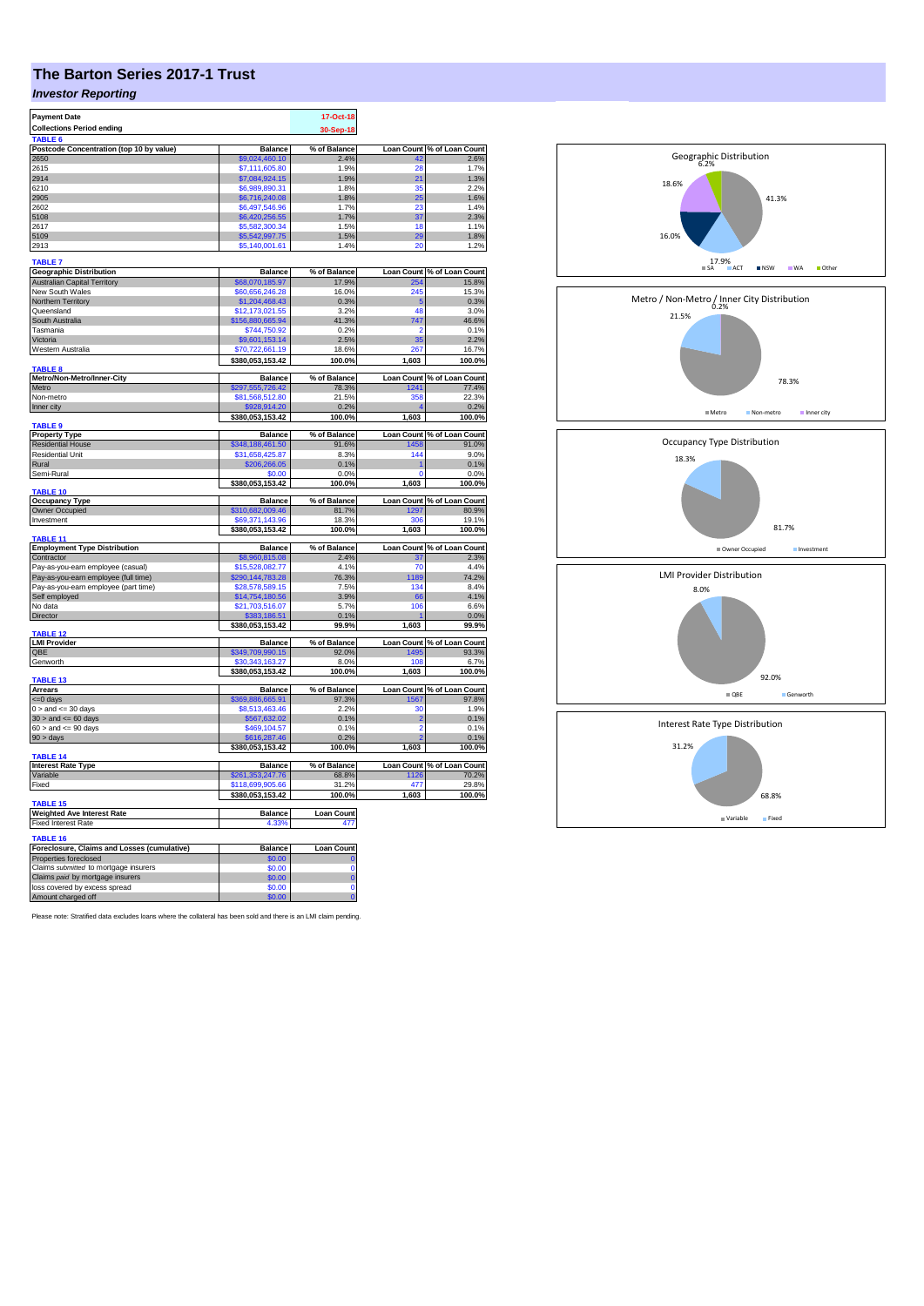## **The Barton Series 2017-1 Trust**

## *Investor Reporting*

| <b>Payment Date</b>                                                       |                                  | 17-Oct-18         |                   |                            |
|---------------------------------------------------------------------------|----------------------------------|-------------------|-------------------|----------------------------|
| <b>Collections Period ending</b>                                          |                                  | 30-Sep-18         |                   |                            |
| TABLE <sub>6</sub>                                                        |                                  |                   |                   |                            |
| Postcode Concentration (top 10 by value)                                  | <b>Balance</b>                   | % of Balance      | <b>Loan Count</b> | % of Loan Count            |
| 2650                                                                      | \$9,024,460.10                   | 2.4%              | 42                | 2.6%                       |
| 2615                                                                      | \$7,111,605.80                   | 1.9%              | 28                | 1.7%                       |
| 2914                                                                      | \$7,084,924.15                   | 1.9%              | 21                | 1.3%                       |
| 6210                                                                      | \$6,989,890.31                   | 1.8%              | 35                | 2.2%                       |
| 2905                                                                      | 6,716,240.08                     | 1.8%              | 25                | 1.6%                       |
| 2602                                                                      | \$6,497,546.96                   | 1.7%              | 23                | 1.4%                       |
| 5108                                                                      | \$6,420,256.55                   | 1.7%              | 37                | 2.3%                       |
| 2617<br>5109                                                              | \$5,582,300.34                   | 1.5%              | 18<br>29          | 1.1%                       |
|                                                                           | \$5,542,997.75<br>\$5,140,001.61 | 1.5%              | 20                | 1.8%                       |
| 2913                                                                      |                                  | 1.4%              |                   | 1.2%                       |
| <b>TABLE 7</b>                                                            |                                  |                   |                   |                            |
| <b>Geographic Distribution</b>                                            | <b>Balance</b>                   | % of Balance      |                   | Loan Count % of Loan Count |
| <b>Australian Capital Territory</b>                                       | \$68,070,185.97                  | 17.9%             | 254               | 15.8%                      |
| New South Wales                                                           | \$60,656,246.28                  | 16.0%             | 245               | 15.3%                      |
| Northern Territory                                                        | \$1,204,468.43                   | 0.3%              | Æ                 | 0.3%                       |
| Queensland                                                                | \$12.173.021.55                  | 3.2%              | 48                | 3.0%                       |
| South Australia                                                           | \$156,880,665.94                 | 41.3%             | 747               | 46.6%                      |
| Tasmania                                                                  | \$744,750.92                     | 0.2%              | o                 | 0.1%                       |
| Victoria                                                                  | \$9,601,153.14                   | 2.5%              | 35                | 2.2%                       |
| Western Australia                                                         | \$70,722,661.19                  | 18.6%             | 267               | 16.7%                      |
|                                                                           | \$380,053,153.42                 | 100.0%            | 1,603             | 100.0%                     |
| <b>TABLE 8</b><br>Metro/Non-Metro/Inner-City                              | <b>Balance</b>                   | % of Balance      |                   | Loan Count % of Loan Count |
| Metro                                                                     | \$297,555,726.42                 | 78.3%             | 1241              | 77.4%                      |
| Non-metro                                                                 | \$81,568,512.80                  | 21.5%             | 358               | 22.3%                      |
| Inner city                                                                | \$928,914.20                     | 0.2%              |                   | 0.2%                       |
|                                                                           | \$380,053,153.42                 | 100.0%            | 1,603             | 100.0%                     |
| <b>TABLE 9</b>                                                            |                                  |                   |                   |                            |
| <b>Property Type</b>                                                      | <b>Balance</b>                   | % of Balance      |                   | Loan Count % of Loan Count |
| <b>Residential House</b>                                                  | \$348,188,461.50                 | 91.6%             | 1458              | 91.0%                      |
| <b>Residential Unit</b>                                                   | \$31,658,425.87                  | 8.3%              | 144               | 9.0%                       |
| Rural                                                                     | \$206,266.05                     | 0.1%              |                   | 0.1%                       |
| Semi-Rural                                                                | \$0.00                           | 0.0%              | O                 | 0.0%                       |
|                                                                           | \$380,053,153.42                 | 100.0%            | 1,603             | 100.0%                     |
| <b>TABLE 10</b><br><b>Occupancy Type</b>                                  | <b>Balance</b>                   | % of Balance      |                   | Loan Count % of Loan Count |
| Owner Occupied                                                            | \$310,682,009.46                 | 81.7%             | 1297              | 80.9%                      |
| Investment                                                                | \$69,371,143.96                  | 18.3%             | 306               | 19.1%                      |
|                                                                           | \$380,053,153.42                 | 100.0%            | 1,603             | 100.0%                     |
| TABLE 11                                                                  |                                  |                   |                   |                            |
| <b>Employment Type Distribution</b>                                       | <b>Balance</b>                   | % of Balance      |                   | Loan Count % of Loan Count |
| Contractor                                                                | \$8,960,815.08                   | 2.4%              | 37                | 2.3%                       |
| Pay-as-you-earn employee (casual)                                         | \$15,528,082.77                  | 4.1%              | 70                | 4.4%                       |
| Pay-as-you-earn employee (full time)                                      | \$290,144,783.28                 | 76.3%             | 1189              | 74.2%                      |
| Pay-as-you-earn employee (part time)                                      | \$28,578,589.15                  | 7.5%              | 134               | 8.4%                       |
| Self employed                                                             | \$14,754,180.56                  | 3.9%              | 66                | 4.1%                       |
| No data                                                                   | \$21,703,516.07                  | 5.7%              | 106               | 6.6%                       |
| Director                                                                  | \$383,186.51                     | 0.1%              |                   | 0.0%                       |
| <b>TABLE 12</b>                                                           | \$380,053,153.42                 | 99.9%             | 1,603             | 99.9%                      |
| <b>LMI Provider</b>                                                       | <b>Balance</b>                   | % of Balance      |                   | Loan Count % of Loan Count |
| QBE                                                                       | \$349,709,990.15                 | 92.0%             | 149               | 93.3%                      |
| Genworth                                                                  | 30, 343, 163. 27                 | 8.0%              | 108               | 6.7%                       |
|                                                                           | \$380,053,153.42                 | 100.0%            | 1,603             | 100.0%                     |
| <b>TABLE 13</b>                                                           |                                  |                   |                   |                            |
| <b>Arrears</b>                                                            | <b>Balance</b>                   | % of Balance      |                   | Loan Count % of Loan Count |
| <= 0 days                                                                 | \$369,886,665.91                 | 97.3%             | 1567              | 97.8%                      |
| $0 >$ and $\lt = 30$ days                                                 | \$8,513,463.46                   | 2.2%              | 30                | 1.9%                       |
| $30$ > and <= 60 days                                                     | \$567,632.02                     | 0.1%              | $\overline{2}$    | 0.1%                       |
| $60 >$ and $\leq 90$ days                                                 | \$469,104.57                     | 0.1%              | $\overline{2}$    | 0.1%                       |
| 90 > days                                                                 | \$616,287.46                     | 0.2%              |                   | 0.1%                       |
| <b>TABLE 14</b>                                                           | \$380,053,153.42                 | 100.0%            | 1,603             | 100.0%                     |
| <b>Interest Rate Type</b>                                                 | <b>Balance</b>                   | % of Balance      |                   | Loan Count % of Loan Count |
| Variable                                                                  | \$261,353,247.76                 | 68.8%             | 1126              | 70.2%                      |
| Fixed                                                                     | \$118,699,905.66                 | 31.2%             | 477               | 29.8%                      |
|                                                                           | \$380,053,153.42                 | 100.0%            | 1,603             | 100.0%                     |
| <b>TABLE 15</b>                                                           |                                  |                   |                   |                            |
| <b>Weighted Ave Interest Rate</b>                                         | <b>Balance</b>                   | <b>Loan Count</b> |                   |                            |
| <b>Fixed Interest Rate</b>                                                | 4.33%                            | 477               |                   |                            |
|                                                                           |                                  |                   |                   |                            |
| TABLE 16                                                                  |                                  |                   |                   |                            |
| Foreclosure, Claims and Losses (cumulative)                               | <b>Balance</b>                   | Loan Count        |                   |                            |
| Properties foreclosed                                                     | \$0.00<br>\$0.00                 | c<br>Ō            |                   |                            |
| Claims submitted to mortgage insurers<br>Claims paid by mortgage insurers | \$0.00                           | $\mathbf 0$       |                   |                            |
| loss covered by excess spread                                             | \$0.00                           | $\mathbf 0$       |                   |                            |
| Amount charged off                                                        | \$0.00                           | $\overline{0}$    |                   |                            |
|                                                                           |                                  |                   |                   |                            |

Please note: Stratified data excludes loans where the collateral has been sold and there is an LMI claim pending.